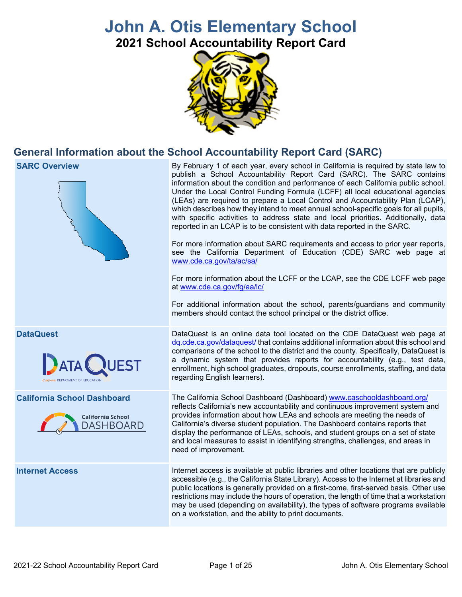# **John A. Otis Elementary School**

**2021 School Accountability Report Card** 



## **General Information about the School Accountability Report Card (SARC)**





 Under the Local Control Funding Formula (LCFF) all local educational agencies reported in an LCAP is to be consistent with data reported in the SARC. By February 1 of each year, every school in California is required by state law to publish a School Accountability Report Card (SARC). The SARC contains information about the condition and performance of each California public school. (LEAs) are required to prepare a Local Control and Accountability Plan (LCAP), which describes how they intend to meet annual school-specific goals for all pupils, with specific activities to address state and local priorities. Additionally, data

For more information about SARC requirements and access to prior year reports, see the California Department of Education (CDE) SARC web page at [www.cde.ca.gov/ta/ac/sa/](https://www.cde.ca.gov/ta/ac/sa/)

For more information about the LCFF or the LCAP, see the CDE LCFF web page at [www.cde.ca.gov/fg/aa/lc/](https://www.cde.ca.gov/fg/aa/lc/) 

For additional information about the school, parents/guardians and community members should contact the school principal or the district office.

 enrollment, high school graduates, dropouts, course enrollments, staffing, and data DataQuest is an online data tool located on the CDE DataQuest web page at [dq.cde.ca.gov/dataquest/](https://dq.cde.ca.gov/dataquest/) that contains additional information about this school and comparisons of the school to the district and the county. Specifically, DataQuest is a dynamic system that provides reports for accountability (e.g., test data, regarding English learners).

 California's diverse student population. The Dashboard contains reports that The California School Dashboard (Dashboard) [www.caschooldashboard.org/](http://www.caschooldashboard.org/)  reflects California's new accountability and continuous improvement system and provides information about how LEAs and schools are meeting the needs of display the performance of LEAs, schools, and student groups on a set of state and local measures to assist in identifying strengths, challenges, and areas in need of improvement.

Internet access is available at public libraries and other locations that are publicly accessible (e.g., the California State Library). Access to the Internet at libraries and public locations is generally provided on a first-come, first-served basis. Other use restrictions may include the hours of operation, the length of time that a workstation may be used (depending on availability), the types of software programs available on a workstation, and the ability to print documents.

#### **DataQuest**



#### **California School Dashboard**



#### **Internet Access**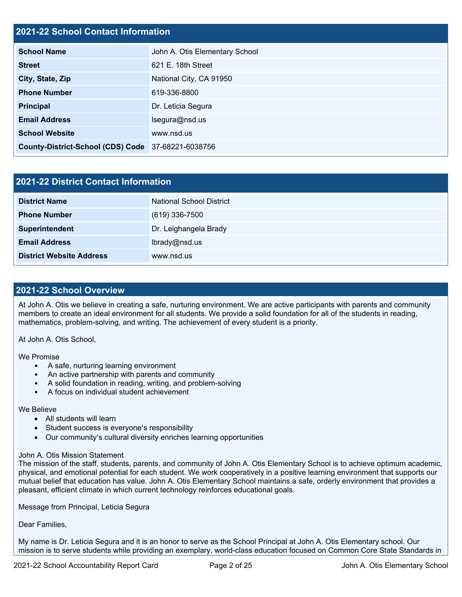### **2021-22 School Contact Information**

| <b>School Name</b>                                 | John A. Otis Elementary School |  |  |  |
|----------------------------------------------------|--------------------------------|--|--|--|
| <b>Street</b>                                      | 621 E. 18th Street             |  |  |  |
| City, State, Zip                                   | National City, CA 91950        |  |  |  |
| <b>Phone Number</b>                                | 619-336-8800                   |  |  |  |
| Principal                                          | Dr. Leticia Segura             |  |  |  |
| <b>Email Address</b>                               | Isegura@nsd.us                 |  |  |  |
| <b>School Website</b>                              | www.nsd.us                     |  |  |  |
| County-District-School (CDS) Code 37-68221-6038756 |                                |  |  |  |

| 2021-22 District Contact Information |                                 |  |  |  |
|--------------------------------------|---------------------------------|--|--|--|
| <b>District Name</b>                 | <b>National School District</b> |  |  |  |
| <b>Phone Number</b>                  | $(619)$ 336-7500                |  |  |  |
| Superintendent                       | Dr. Leighangela Brady           |  |  |  |
| <b>Email Address</b>                 | lbrady@nsd.us                   |  |  |  |
| <b>District Website Address</b>      | www.nsd.us                      |  |  |  |

#### **2021-22 School Overview**

 At John A. Otis we believe in creating a safe, nurturing environment. We are active participants with parents and community members to create an ideal environment for all students. We provide a solid foundation for all of the students in reading, mathematics, problem-solving, and writing. The achievement of every student is a priority.

At John A. Otis School,

We Promise

- A safe, nurturing learning environment
- An active partnership with parents and community
- A solid foundation in reading, writing, and problem-solving
- A focus on individual student achievement

#### We Believe

- All students will learn
- Student success is everyone's responsibility
- Our community's cultural diversity enriches learning opportunities

#### John A. Otis Mission Statement

The mission of the staff, students, parents, and community of John A. Otis Elementary School is to achieve optimum academic, physical, and emotional potential for each student. We work cooperatively in a positive learning environment that supports our mutual belief that education has value. John A. Otis Elementary School maintains a safe, orderly environment that provides a pleasant, efficient climate in which current technology reinforces educational goals.

Message from Principal, Leticia Segura

Dear Families,

 My name is Dr. Leticia Segura and it is an honor to serve as the School Principal at John A. Otis Elementary school. Our mission is to serve students while providing an exemplary, world-class education focused on Common Core State Standards in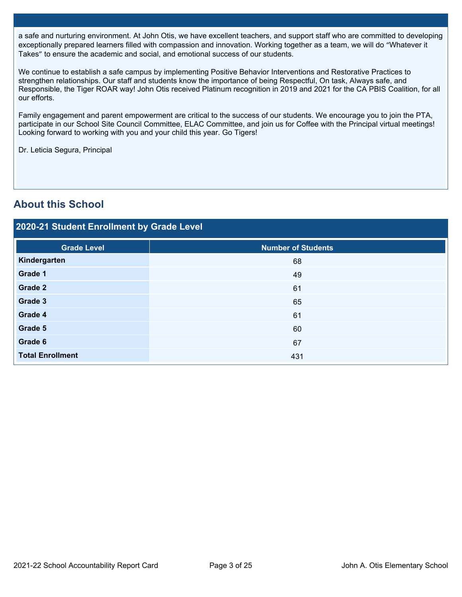a safe and nurturing environment. At John Otis, we have excellent teachers, and support staff who are committed to developing exceptionally prepared learners filled with compassion and innovation. Working together as a team, we will do "Whatever it Takes" to ensure the academic and social, and emotional success of our students.

We continue to establish a safe campus by implementing Positive Behavior Interventions and Restorative Practices to strengthen relationships. Our staff and students know the importance of being Respectful, On task, Always safe, and Responsible, the Tiger ROAR way! John Otis received Platinum recognition in 2019 and 2021 for the CA PBIS Coalition, for all our efforts.

Family engagement and parent empowerment are critical to the success of our students. We encourage you to join the PTA, participate in our School Site Council Committee, ELAC Committee, and join us for Coffee with the Principal virtual meetings! Looking forward to working with you and your child this year. Go Tigers!

Dr. Leticia Segura, Principal

## **About this School**

## **2020-21 Student Enrollment by Grade Level**

| <b>Grade Level</b>                        | <b>Number of Students</b>                      |
|-------------------------------------------|------------------------------------------------|
| Kindergarten                              | 68                                             |
| Grade 1                                   | 49                                             |
| Grade 2                                   | 61                                             |
| Grade 3                                   | 65                                             |
| Grade 4                                   | 61                                             |
| Grade 5                                   | 60                                             |
| Grade 6                                   | 67                                             |
| <b>Total Enrollment</b>                   | 431                                            |
|                                           |                                                |
|                                           |                                                |
|                                           |                                                |
|                                           |                                                |
|                                           |                                                |
|                                           |                                                |
|                                           |                                                |
|                                           |                                                |
|                                           |                                                |
|                                           |                                                |
|                                           |                                                |
|                                           |                                                |
|                                           |                                                |
| 2021-22 School Accountability Report Card | Page 3 of 25<br>John A. Otis Elementary School |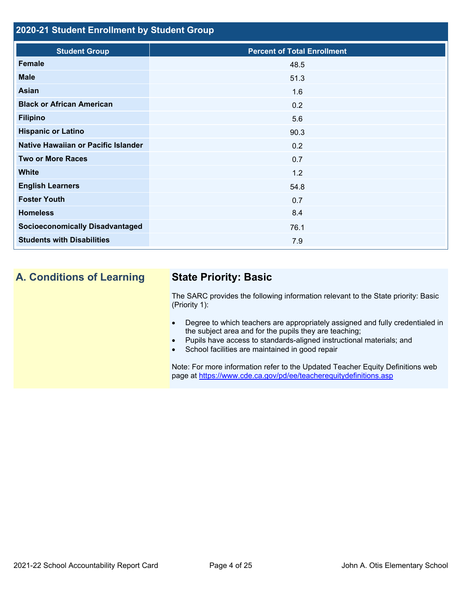## **2020-21 Student Enrollment by Student Group**

| <b>Student Group</b>                   | <b>Percent of Total Enrollment</b> |
|----------------------------------------|------------------------------------|
| <b>Female</b>                          | 48.5                               |
| <b>Male</b>                            | 51.3                               |
| Asian                                  | 1.6                                |
| <b>Black or African American</b>       | 0.2                                |
| <b>Filipino</b>                        | 5.6                                |
| <b>Hispanic or Latino</b>              | 90.3                               |
| Native Hawaiian or Pacific Islander    | 0.2                                |
| <b>Two or More Races</b>               | 0.7                                |
| <b>White</b>                           | 1.2                                |
| <b>English Learners</b>                | 54.8                               |
| <b>Foster Youth</b>                    | 0.7                                |
| <b>Homeless</b>                        | 8.4                                |
| <b>Socioeconomically Disadvantaged</b> | 76.1                               |
| <b>Students with Disabilities</b>      | 7.9                                |

## **A. Conditions of Learning State Priority: Basic**

The SARC provides the following information relevant to the State priority: Basic (Priority 1):

- Degree to which teachers are appropriately assigned and fully credentialed in the subject area and for the pupils they are teaching;
- Pupils have access to standards-aligned instructional materials; and
- School facilities are maintained in good repair

page at <https://www.cde.ca.gov/pd/ee/teacherequitydefinitions.asp> Note: For more information refer to the Updated Teacher Equity Definitions web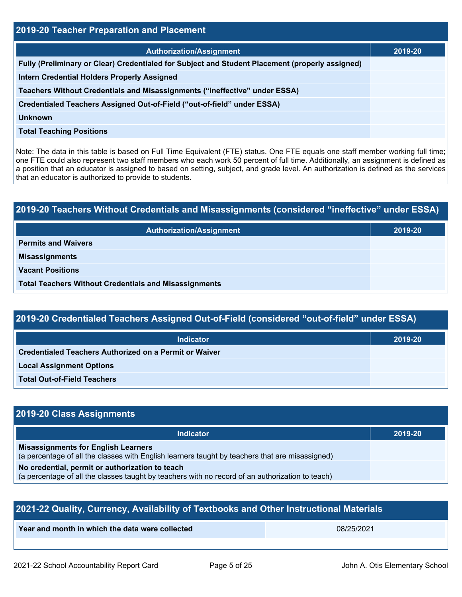| 2019-20 Teacher Preparation and Placement                                                                                                                                                                                                                                                                                                                                                                                                                         |         |  |  |
|-------------------------------------------------------------------------------------------------------------------------------------------------------------------------------------------------------------------------------------------------------------------------------------------------------------------------------------------------------------------------------------------------------------------------------------------------------------------|---------|--|--|
| <b>Authorization/Assignment</b>                                                                                                                                                                                                                                                                                                                                                                                                                                   | 2019-20 |  |  |
| Fully (Preliminary or Clear) Credentialed for Subject and Student Placement (properly assigned)                                                                                                                                                                                                                                                                                                                                                                   |         |  |  |
| Intern Credential Holders Properly Assigned                                                                                                                                                                                                                                                                                                                                                                                                                       |         |  |  |
| Teachers Without Credentials and Misassignments ("ineffective" under ESSA)                                                                                                                                                                                                                                                                                                                                                                                        |         |  |  |
| Credentialed Teachers Assigned Out-of-Field ("out-of-field" under ESSA)                                                                                                                                                                                                                                                                                                                                                                                           |         |  |  |
| <b>Unknown</b>                                                                                                                                                                                                                                                                                                                                                                                                                                                    |         |  |  |
| <b>Total Teaching Positions</b>                                                                                                                                                                                                                                                                                                                                                                                                                                   |         |  |  |
| Note: The data in this table is based on Full Time Equivalent (FTE) status. One FTE equals one staff member working full time;<br>one FTE could also represent two staff members who each work 50 percent of full time. Additionally, an assignment is defined as<br>a position that an educator is assigned to based on setting, subject, and grade level. An authorization is defined as the services<br>that an educator is authorized to provide to students. |         |  |  |
|                                                                                                                                                                                                                                                                                                                                                                                                                                                                   |         |  |  |
| 2019-20 Teachers Without Credentials and Misassignments (considered "ineffective" under ESSA)                                                                                                                                                                                                                                                                                                                                                                     |         |  |  |
| <b>Authorization/Assignment</b>                                                                                                                                                                                                                                                                                                                                                                                                                                   | 2019-20 |  |  |
| <b>Permits and Waivers</b>                                                                                                                                                                                                                                                                                                                                                                                                                                        |         |  |  |
| <b>Misassignments</b>                                                                                                                                                                                                                                                                                                                                                                                                                                             |         |  |  |
| <b>Vacant Positions</b>                                                                                                                                                                                                                                                                                                                                                                                                                                           |         |  |  |

| 2019-20 Teachers Without Credentials and Misassignments (considered "ineffective" under ESSA) |         |  |  |
|-----------------------------------------------------------------------------------------------|---------|--|--|
| <b>Authorization/Assignment</b>                                                               | 2019-20 |  |  |
| <b>Permits and Waivers</b>                                                                    |         |  |  |
| <b>Misassignments</b>                                                                         |         |  |  |
| <b>Vacant Positions</b>                                                                       |         |  |  |
| <b>Total Teachers Without Credentials and Misassignments</b>                                  |         |  |  |

| 2019-20 Credentialed Teachers Assigned Out-of-Field (considered "out-of-field" under ESSA) \ |
|----------------------------------------------------------------------------------------------|
|----------------------------------------------------------------------------------------------|

| <b>Indicator</b>                                       | 2019-20 |  |  |
|--------------------------------------------------------|---------|--|--|
| Credentialed Teachers Authorized on a Permit or Waiver |         |  |  |
| <b>Local Assignment Options</b>                        |         |  |  |
| <b>Total Out-of-Field Teachers</b>                     |         |  |  |

## **2019-20 Class Assignments**

| <b>Indicator</b>                                                                                                                                    | 2019-20 |
|-----------------------------------------------------------------------------------------------------------------------------------------------------|---------|
| <b>Misassignments for English Learners</b><br>(a percentage of all the classes with English learners taught by teachers that are misassigned)       |         |
| No credential, permit or authorization to teach<br>(a percentage of all the classes taught by teachers with no record of an authorization to teach) |         |

| 2021-22 Quality, Currency, Availability of Textbooks and Other Instructional Materials |            |  |  |
|----------------------------------------------------------------------------------------|------------|--|--|
| Year and month in which the data were collected                                        | 08/25/2021 |  |  |
|                                                                                        |            |  |  |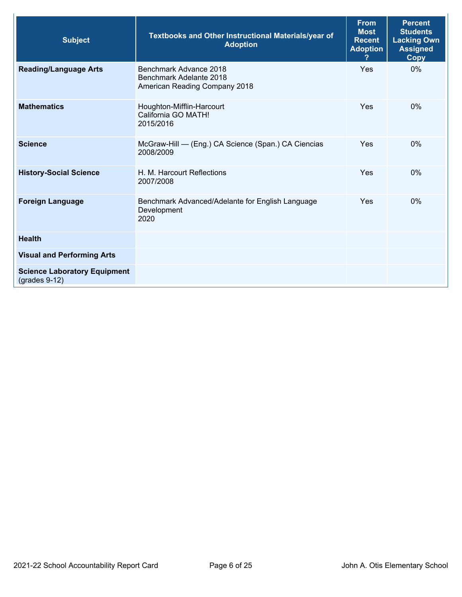| <b>Subject</b>                                         | <b>Textbooks and Other Instructional Materials/year of</b><br><b>Adoption</b>      | <b>From</b><br><b>Most</b><br><b>Recent</b><br><b>Adoption</b> | <b>Percent</b><br><b>Students</b><br><b>Lacking Own</b><br><b>Assigned</b><br>Copy |
|--------------------------------------------------------|------------------------------------------------------------------------------------|----------------------------------------------------------------|------------------------------------------------------------------------------------|
| <b>Reading/Language Arts</b>                           | Benchmark Advance 2018<br>Benchmark Adelante 2018<br>American Reading Company 2018 | Yes                                                            | $0\%$                                                                              |
| <b>Mathematics</b>                                     | Houghton-Mifflin-Harcourt<br>California GO MATH!<br>2015/2016                      | Yes                                                            | $0\%$                                                                              |
| <b>Science</b>                                         | McGraw-Hill - (Eng.) CA Science (Span.) CA Ciencias<br>2008/2009                   | <b>Yes</b>                                                     | 0%                                                                                 |
| <b>History-Social Science</b>                          | H. M. Harcourt Reflections<br>2007/2008                                            | Yes                                                            | $0\%$                                                                              |
| <b>Foreign Language</b>                                | Benchmark Advanced/Adelante for English Language<br>Development<br>2020            | Yes                                                            | $0\%$                                                                              |
| <b>Health</b>                                          |                                                                                    |                                                                |                                                                                    |
| <b>Visual and Performing Arts</b>                      |                                                                                    |                                                                |                                                                                    |
| <b>Science Laboratory Equipment</b><br>$(grades 9-12)$ |                                                                                    |                                                                |                                                                                    |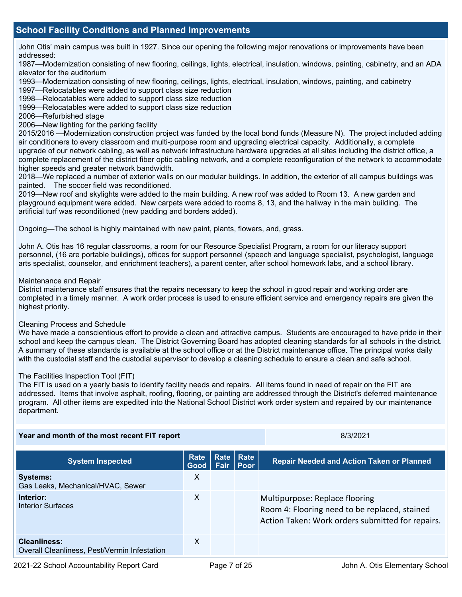## **School Facility Conditions and Planned Improvements**

 John Otis' main campus was built in 1927. Since our opening the following major renovations or improvements have been addressed:

 1987—Modernization consisting of new flooring, ceilings, lights, electrical, insulation, windows, painting, cabinetry, and an ADA elevator for the auditorium

1993—Modernization consisting of new flooring, ceilings, lights, electrical, insulation, windows, painting, and cabinetry

1997—Relocatables were added to support class size reduction

1998—Relocatables were added to support class size reduction

1999—Relocatables were added to support class size reduction

2006—Refurbished stage

2006—New lighting for the parking facility

2015/2016 —Modernization construction project was funded by the local bond funds (Measure N). The project included adding air conditioners to every classroom and multi-purpose room and upgrading electrical capacity. Additionally, a complete upgrade of our network cabling, as well as network infrastructure hardware upgrades at all sites including the district office, a complete replacement of the district fiber optic cabling network, and a complete reconfiguration of the network to accommodate higher speeds and greater network bandwidth.

2018—We replaced a number of exterior walls on our modular buildings. In addition, the exterior of all campus buildings was painted. The soccer field was reconditioned.

 2019—New roof and skylights were added to the main building. A new roof was added to Room 13. A new garden and playground equipment were added. New carpets were added to rooms 8, 13, and the hallway in the main building. The artificial turf was reconditioned (new padding and borders added).

Ongoing—The school is highly maintained with new paint, plants, flowers, and, grass.

John A. Otis has 16 regular classrooms, a room for our Resource Specialist Program, a room for our literacy support personnel, (16 are portable buildings), offices for support personnel (speech and language specialist, psychologist, language arts specialist, counselor, and enrichment teachers), a parent center, after school homework labs, and a school library.

#### Maintenance and Repair

District maintenance staff ensures that the repairs necessary to keep the school in good repair and working order are completed in a timely manner. A work order process is used to ensure efficient service and emergency repairs are given the highest priority.

#### Cleaning Process and Schedule

 We have made a conscientious effort to provide a clean and attractive campus. Students are encouraged to have pride in their A summary of these standards is available at the school office or at the District maintenance office. The principal works daily with the custodial staff and the custodial supervisor to develop a cleaning schedule to ensure a clean and safe school. school and keep the campus clean. The District Governing Board has adopted cleaning standards for all schools in the district.

#### The Facilities Inspection Tool (FIT)

 The FIT is used on a yearly basis to identify facility needs and repairs. All items found in need of repair on the FIT are addressed. Items that involve asphalt, roofing, flooring, or painting are addressed through the District's deferred maintenance program. All other items are expedited into the National School District work order system and repaired by our maintenance department.

| Year and month of the most recent FIT report                 |              | 8/3/2021    |                                  |                                                                                                                                     |
|--------------------------------------------------------------|--------------|-------------|----------------------------------|-------------------------------------------------------------------------------------------------------------------------------------|
| <b>System Inspected</b>                                      | Rate<br>Good | <b>Fair</b> | <b>Rate Rate</b><br><b>∣Poor</b> | <b>Repair Needed and Action Taken or Planned</b>                                                                                    |
| <b>Systems:</b><br>Gas Leaks, Mechanical/HVAC, Sewer         | $\times$     |             |                                  |                                                                                                                                     |
| Interior:<br><b>Interior Surfaces</b>                        | $\times$     |             |                                  | Multipurpose: Replace flooring<br>Room 4: Flooring need to be replaced, stained<br>Action Taken: Work orders submitted for repairs. |
| Cleanliness:<br>Overall Cleanliness, Pest/Vermin Infestation | $\mathsf{X}$ |             |                                  |                                                                                                                                     |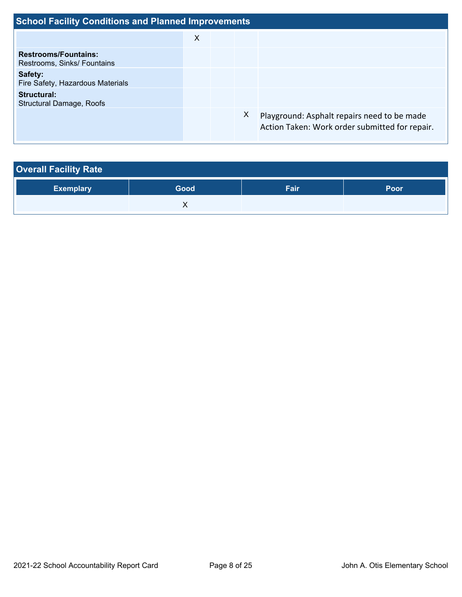| <b>School Facility Conditions and Planned Improvements</b> |   |  |   |                                                                                               |  |  |  |
|------------------------------------------------------------|---|--|---|-----------------------------------------------------------------------------------------------|--|--|--|
|                                                            | X |  |   |                                                                                               |  |  |  |
| <b>Restrooms/Fountains:</b><br>Restrooms, Sinks/ Fountains |   |  |   |                                                                                               |  |  |  |
| Safety:<br>Fire Safety, Hazardous Materials                |   |  |   |                                                                                               |  |  |  |
| Structural:<br>Structural Damage, Roofs                    |   |  |   |                                                                                               |  |  |  |
|                                                            |   |  | X | Playground: Asphalt repairs need to be made<br>Action Taken: Work order submitted for repair. |  |  |  |

| <b>Overall Facility Rate</b> |      |      |             |
|------------------------------|------|------|-------------|
| <b>Exemplary</b>             | Good | Fair | <b>Poor</b> |
|                              |      |      |             |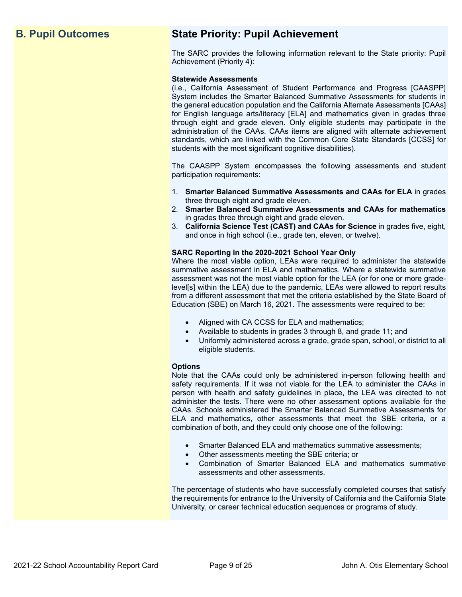## **B. Pupil Outcomes State Priority: Pupil Achievement**

The SARC provides the following information relevant to the State priority: Pupil Achievement (Priority 4):

#### **Statewide Assessments**

 (i.e., California Assessment of Student Performance and Progress [CAASPP] System includes the Smarter Balanced Summative Assessments for students in for English language arts/literacy [ELA] and mathematics given in grades three through eight and grade eleven. Only eligible students may participate in the standards, which are linked with the Common Core State Standards [CCSS] for the general education population and the California Alternate Assessments [CAAs] administration of the CAAs. CAAs items are aligned with alternate achievement students with the most significant cognitive disabilities).

The CAASPP System encompasses the following assessments and student participation requirements:

- 1. **Smarter Balanced Summative Assessments and CAAs for ELA** in grades three through eight and grade eleven.
- 2. **Smarter Balanced Summative Assessments and CAAs for mathematics**  in grades three through eight and grade eleven.
- 3. **California Science Test (CAST) and CAAs for Science** in grades five, eight, and once in high school (i.e., grade ten, eleven, or twelve).

#### **SARC Reporting in the 2020-2021 School Year Only**

Where the most viable option, LEAs were required to administer the statewide summative assessment in ELA and mathematics. Where a statewide summative assessment was not the most viable option for the LEA (or for one or more gradelevel[s] within the LEA) due to the pandemic, LEAs were allowed to report results from a different assessment that met the criteria established by the State Board of Education (SBE) on March 16, 2021. The assessments were required to be:

- Aligned with CA CCSS for ELA and mathematics;
- Available to students in grades 3 through 8, and grade 11; and
- Uniformly administered across a grade, grade span, school, or district to all eligible students.

#### **Options**

Note that the CAAs could only be administered in-person following health and safety requirements. If it was not viable for the LEA to administer the CAAs in person with health and safety guidelines in place, the LEA was directed to not administer the tests. There were no other assessment options available for the CAAs. Schools administered the Smarter Balanced Summative Assessments for ELA and mathematics, other assessments that meet the SBE criteria, or a combination of both, and they could only choose one of the following:

- Smarter Balanced ELA and mathematics summative assessments;
- Other assessments meeting the SBE criteria; or
- Combination of Smarter Balanced ELA and mathematics summative assessments and other assessments.

The percentage of students who have successfully completed courses that satisfy the requirements for entrance to the University of California and the California State University, or career technical education sequences or programs of study.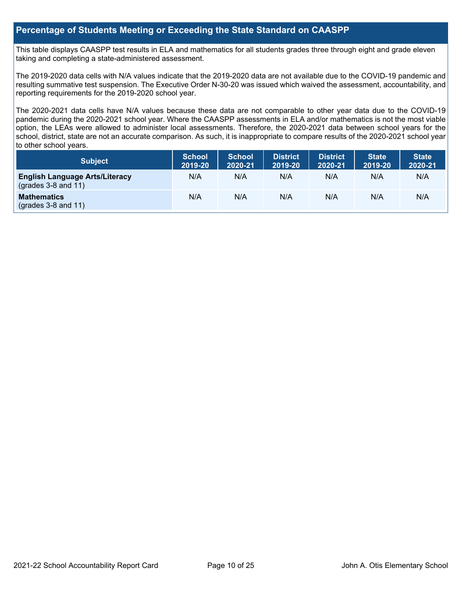#### **Percentage of Students Meeting or Exceeding the State Standard on CAASPP**

 taking and completing a state-administered assessment. This table displays CAASPP test results in ELA and mathematics for all students grades three through eight and grade eleven

The 2019-2020 data cells with N/A values indicate that the 2019-2020 data are not available due to the COVID-19 pandemic and resulting summative test suspension. The Executive Order N-30-20 was issued which waived the assessment, accountability, and reporting requirements for the 2019-2020 school year.

 pandemic during the 2020-2021 school year. Where the CAASPP assessments in ELA and/or mathematics is not the most viable school, district, state are not an accurate comparison. As such, it is inappropriate to compare results of the 2020-2021 school year The 2020-2021 data cells have N/A values because these data are not comparable to other year data due to the COVID-19 option, the LEAs were allowed to administer local assessments. Therefore, the 2020-2021 data between school years for the to other school years.

| <b>Subject</b>                                                       | <b>School</b><br>2019-20 | <b>School</b><br>2020-21 | <b>District</b><br>2019-20 | <b>District</b><br>2020-21 | <b>State</b><br>2019-20 | <b>State</b><br>2020-21 |
|----------------------------------------------------------------------|--------------------------|--------------------------|----------------------------|----------------------------|-------------------------|-------------------------|
| <b>English Language Arts/Literacy</b><br>$\left($ grades 3-8 and 11) | N/A                      | N/A                      | N/A                        | N/A                        | N/A                     | N/A                     |
| <b>Mathematics</b><br>$(grades 3-8 and 11)$                          | N/A                      | N/A                      | N/A                        | N/A                        | N/A                     | N/A                     |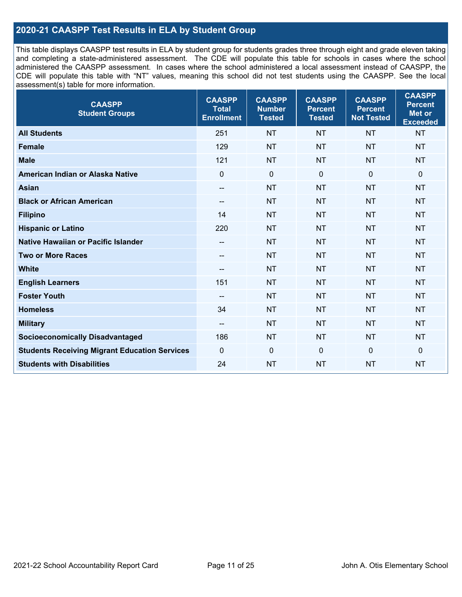## **2020-21 CAASPP Test Results in ELA by Student Group**

 and completing a state-administered assessment. The CDE will populate this table for schools in cases where the school CDE will populate this table with "NT" values, meaning this school did not test students using the CAASPP. See the local This table displays CAASPP test results in ELA by student group for students grades three through eight and grade eleven taking administered the CAASPP assessment. In cases where the school administered a local assessment instead of CAASPP, the assessment(s) table for more information.

| <b>CAASPP</b><br><b>Student Groups</b>               | <b>CAASPP</b><br><b>Total</b><br><b>Enrollment</b> | <b>CAASPP</b><br><b>Number</b><br><b>Tested</b> | <b>CAASPP</b><br><b>Percent</b><br><b>Tested</b> | <b>CAASPP</b><br><b>Percent</b><br><b>Not Tested</b> | <b>CAASPP</b><br><b>Percent</b><br>Met or<br><b>Exceeded</b> |
|------------------------------------------------------|----------------------------------------------------|-------------------------------------------------|--------------------------------------------------|------------------------------------------------------|--------------------------------------------------------------|
| <b>All Students</b>                                  | 251                                                | <b>NT</b>                                       | <b>NT</b>                                        | <b>NT</b>                                            | <b>NT</b>                                                    |
| <b>Female</b>                                        | 129                                                | <b>NT</b>                                       | <b>NT</b>                                        | <b>NT</b>                                            | <b>NT</b>                                                    |
| <b>Male</b>                                          | 121                                                | <b>NT</b>                                       | <b>NT</b>                                        | <b>NT</b>                                            | <b>NT</b>                                                    |
| American Indian or Alaska Native                     | $\overline{0}$                                     | $\pmb{0}$                                       | $\mathbf 0$                                      | $\mathbf 0$                                          | $\mathbf 0$                                                  |
| <b>Asian</b>                                         | $\overline{\phantom{a}}$                           | <b>NT</b>                                       | <b>NT</b>                                        | <b>NT</b>                                            | <b>NT</b>                                                    |
| <b>Black or African American</b>                     | $- -$                                              | <b>NT</b>                                       | <b>NT</b>                                        | <b>NT</b>                                            | <b>NT</b>                                                    |
| <b>Filipino</b>                                      | 14                                                 | <b>NT</b>                                       | <b>NT</b>                                        | <b>NT</b>                                            | <b>NT</b>                                                    |
| <b>Hispanic or Latino</b>                            | 220                                                | <b>NT</b>                                       | <b>NT</b>                                        | <b>NT</b>                                            | <b>NT</b>                                                    |
| <b>Native Hawaiian or Pacific Islander</b>           | $-\!$                                              | <b>NT</b>                                       | <b>NT</b>                                        | <b>NT</b>                                            | <b>NT</b>                                                    |
| <b>Two or More Races</b>                             | $-\!$                                              | <b>NT</b>                                       | <b>NT</b>                                        | <b>NT</b>                                            | <b>NT</b>                                                    |
| <b>White</b>                                         | $\overline{\phantom{a}}$                           | <b>NT</b>                                       | <b>NT</b>                                        | <b>NT</b>                                            | <b>NT</b>                                                    |
| <b>English Learners</b>                              | 151                                                | <b>NT</b>                                       | <b>NT</b>                                        | <b>NT</b>                                            | <b>NT</b>                                                    |
| <b>Foster Youth</b>                                  |                                                    | <b>NT</b>                                       | <b>NT</b>                                        | <b>NT</b>                                            | <b>NT</b>                                                    |
| <b>Homeless</b>                                      | 34                                                 | <b>NT</b>                                       | <b>NT</b>                                        | <b>NT</b>                                            | <b>NT</b>                                                    |
| <b>Military</b>                                      | $\overline{\phantom{a}}$                           | <b>NT</b>                                       | <b>NT</b>                                        | <b>NT</b>                                            | <b>NT</b>                                                    |
| <b>Socioeconomically Disadvantaged</b>               | 186                                                | <b>NT</b>                                       | <b>NT</b>                                        | <b>NT</b>                                            | <b>NT</b>                                                    |
| <b>Students Receiving Migrant Education Services</b> | $\mathbf 0$                                        | $\mathbf 0$                                     | $\mathbf 0$                                      | $\mathbf 0$                                          | 0                                                            |
| <b>Students with Disabilities</b>                    | 24                                                 | <b>NT</b>                                       | <b>NT</b>                                        | <b>NT</b>                                            | <b>NT</b>                                                    |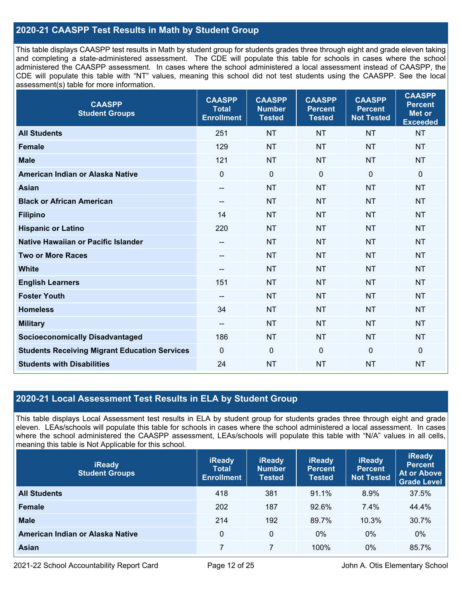## **2020-21 CAASPP Test Results in Math by Student Group**

 This table displays CAASPP test results in Math by student group for students grades three through eight and grade eleven taking and completing a state-administered assessment. The CDE will populate this table for schools in cases where the school CDE will populate this table with "NT" values, meaning this school did not test students using the CAASPP. See the local administered the CAASPP assessment. In cases where the school administered a local assessment instead of CAASPP, the assessment(s) table for more information.

| <b>CAASPP</b><br><b>Student Groups</b>               | <b>CAASPP</b><br><b>Total</b><br><b>Enrollment</b> | <b>CAASPP</b><br><b>Number</b><br><b>Tested</b> | <b>CAASPP</b><br><b>Percent</b><br><b>Tested</b> | <b>CAASPP</b><br><b>Percent</b><br><b>Not Tested</b> | <b>CAASPP</b><br><b>Percent</b><br><b>Met or</b><br><b>Exceeded</b> |
|------------------------------------------------------|----------------------------------------------------|-------------------------------------------------|--------------------------------------------------|------------------------------------------------------|---------------------------------------------------------------------|
| <b>All Students</b>                                  | 251                                                | <b>NT</b>                                       | <b>NT</b>                                        | <b>NT</b>                                            | <b>NT</b>                                                           |
| <b>Female</b>                                        | 129                                                | <b>NT</b>                                       | <b>NT</b>                                        | <b>NT</b>                                            | <b>NT</b>                                                           |
| <b>Male</b>                                          | 121                                                | <b>NT</b>                                       | <b>NT</b>                                        | <b>NT</b>                                            | <b>NT</b>                                                           |
| American Indian or Alaska Native                     | $\mathbf 0$                                        | $\mathbf 0$                                     | $\mathbf 0$                                      | 0                                                    | $\mathbf 0$                                                         |
| <b>Asian</b>                                         | $- -$                                              | <b>NT</b>                                       | <b>NT</b>                                        | <b>NT</b>                                            | <b>NT</b>                                                           |
| <b>Black or African American</b>                     | $\hspace{0.05cm}$                                  | <b>NT</b>                                       | <b>NT</b>                                        | <b>NT</b>                                            | <b>NT</b>                                                           |
| <b>Filipino</b>                                      | 14                                                 | <b>NT</b>                                       | <b>NT</b>                                        | <b>NT</b>                                            | <b>NT</b>                                                           |
| <b>Hispanic or Latino</b>                            | 220                                                | <b>NT</b>                                       | <b>NT</b>                                        | <b>NT</b>                                            | <b>NT</b>                                                           |
| <b>Native Hawaiian or Pacific Islander</b>           | $-\!$ $\!-$                                        | <b>NT</b>                                       | <b>NT</b>                                        | <b>NT</b>                                            | <b>NT</b>                                                           |
| <b>Two or More Races</b>                             | $- -$                                              | <b>NT</b>                                       | <b>NT</b>                                        | <b>NT</b>                                            | <b>NT</b>                                                           |
| <b>White</b>                                         | $\overline{\phantom{m}}$                           | <b>NT</b>                                       | <b>NT</b>                                        | <b>NT</b>                                            | <b>NT</b>                                                           |
| <b>English Learners</b>                              | 151                                                | <b>NT</b>                                       | <b>NT</b>                                        | <b>NT</b>                                            | <b>NT</b>                                                           |
| <b>Foster Youth</b>                                  | $-$                                                | <b>NT</b>                                       | <b>NT</b>                                        | <b>NT</b>                                            | <b>NT</b>                                                           |
| <b>Homeless</b>                                      | 34                                                 | <b>NT</b>                                       | <b>NT</b>                                        | <b>NT</b>                                            | <b>NT</b>                                                           |
| <b>Military</b>                                      | --                                                 | <b>NT</b>                                       | <b>NT</b>                                        | <b>NT</b>                                            | <b>NT</b>                                                           |
| <b>Socioeconomically Disadvantaged</b>               | 186                                                | <b>NT</b>                                       | <b>NT</b>                                        | <b>NT</b>                                            | <b>NT</b>                                                           |
| <b>Students Receiving Migrant Education Services</b> | $\mathbf 0$                                        | $\mathbf 0$                                     | $\mathbf 0$                                      | 0                                                    | $\mathbf 0$                                                         |
| <b>Students with Disabilities</b>                    | 24                                                 | <b>NT</b>                                       | <b>NT</b>                                        | <b>NT</b>                                            | <b>NT</b>                                                           |

### **2020-21 Local Assessment Test Results in ELA by Student Group**

 eleven. LEAs/schools will populate this table for schools in cases where the school administered a local assessment. In cases This table displays Local Assessment test results in ELA by student group for students grades three through eight and grade where the school administered the CAASPP assessment, LEAs/schools will populate this table with "N/A" values in all cells, meaning this table is Not Applicable for this school.

| <b>iReady</b><br><b>Student Groups</b> | <b>iReady</b><br><b>Total</b><br><b>Enrollment</b> | <b>iReady</b><br><b>Number</b><br><b>Tested</b> | <b>iReady</b><br><b>Percent</b><br><b>Tested</b> | <b>iReady</b><br><b>Percent</b><br><b>Not Tested</b> | <b>iReady</b><br><b>Percent</b><br><b>At or Above</b><br><b>Grade Level</b> |
|----------------------------------------|----------------------------------------------------|-------------------------------------------------|--------------------------------------------------|------------------------------------------------------|-----------------------------------------------------------------------------|
| <b>All Students</b>                    | 418                                                | 381                                             | 91.1%                                            | $8.9\%$                                              | 37.5%                                                                       |
| Female                                 | 202                                                | 187                                             | 92.6%                                            | 7.4%                                                 | 44.4%                                                                       |
| <b>Male</b>                            | 214                                                | 192                                             | 89.7%                                            | 10.3%                                                | 30.7%                                                                       |
| American Indian or Alaska Native       | 0                                                  | 0                                               | $0\%$                                            | $0\%$                                                | $0\%$                                                                       |
| Asian                                  | 7                                                  |                                                 | 100%                                             | $0\%$                                                | 85.7%                                                                       |

2021-22 School Accountability Report Card Page 12 of 25 John A. Otis Elementary School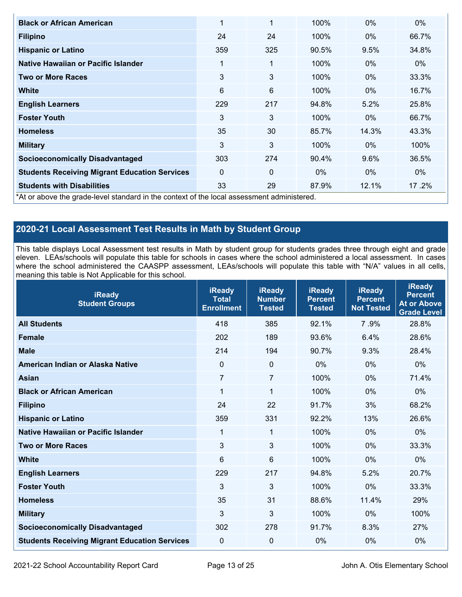| <b>Black or African American</b>                     | 1                                                                                        | 1            | 100%  | $0\%$ | $0\%$ |  |  |  |  |
|------------------------------------------------------|------------------------------------------------------------------------------------------|--------------|-------|-------|-------|--|--|--|--|
| <b>Filipino</b>                                      | 24                                                                                       | 24           | 100%  | $0\%$ | 66.7% |  |  |  |  |
| <b>Hispanic or Latino</b>                            | 359                                                                                      | 325          | 90.5% | 9.5%  | 34.8% |  |  |  |  |
| Native Hawaiian or Pacific Islander                  | 1                                                                                        | $\mathbf{1}$ | 100%  | $0\%$ | $0\%$ |  |  |  |  |
| <b>Two or More Races</b>                             | 3                                                                                        | 3            | 100%  | $0\%$ | 33.3% |  |  |  |  |
| White                                                | 6                                                                                        | 6            | 100%  | $0\%$ | 16.7% |  |  |  |  |
| <b>English Learners</b>                              | 229                                                                                      | 217          | 94.8% | 5.2%  | 25.8% |  |  |  |  |
| <b>Foster Youth</b>                                  | 3                                                                                        | 3            | 100%  | $0\%$ | 66.7% |  |  |  |  |
| <b>Homeless</b>                                      | 35                                                                                       | 30           | 85.7% | 14.3% | 43.3% |  |  |  |  |
| <b>Military</b>                                      | 3                                                                                        | 3            | 100%  | 0%    | 100%  |  |  |  |  |
| <b>Socioeconomically Disadvantaged</b>               | 303                                                                                      | 274          | 90.4% | 9.6%  | 36.5% |  |  |  |  |
| <b>Students Receiving Migrant Education Services</b> | $\Omega$                                                                                 | $\Omega$     | $0\%$ | $0\%$ | $0\%$ |  |  |  |  |
| <b>Students with Disabilities</b>                    | 33                                                                                       | 29           | 87.9% | 12.1% | 17.2% |  |  |  |  |
|                                                      | At or above the grade-level standard in the context of the local assessment administered |              |       |       |       |  |  |  |  |

\*At or above the grade-level standard in the context of the local assessment administered.

## **2020-21 Local Assessment Test Results in Math by Student Group**

 This table displays Local Assessment test results in Math by student group for students grades three through eight and grade eleven. LEAs/schools will populate this table for schools in cases where the school administered a local assessment. In cases where the school administered the CAASPP assessment, LEAs/schools will populate this table with "N/A" values in all cells, meaning this table is Not Applicable for this school.

| <b>iReady</b><br><b>Student Groups</b>               | <b>iReady</b><br><b>Total</b><br><b>Enrollment</b> | <b>iReady</b><br><b>Number</b><br><b>Tested</b> | <b>iReady</b><br><b>Percent</b><br><b>Tested</b> | <b>iReady</b><br><b>Percent</b><br><b>Not Tested</b> | <b>iReady</b><br><b>Percent</b><br><b>At or Above</b><br><b>Grade Level</b> |
|------------------------------------------------------|----------------------------------------------------|-------------------------------------------------|--------------------------------------------------|------------------------------------------------------|-----------------------------------------------------------------------------|
| <b>All Students</b>                                  | 418                                                | 385                                             | 92.1%                                            | 7.9%                                                 | 28.8%                                                                       |
| <b>Female</b>                                        | 202                                                | 189                                             | 93.6%                                            | 6.4%                                                 | 28.6%                                                                       |
| <b>Male</b>                                          | 214                                                | 194                                             | 90.7%                                            | 9.3%                                                 | 28.4%                                                                       |
| American Indian or Alaska Native                     | $\Omega$                                           | $\mathbf 0$                                     | 0%                                               | 0%                                                   | 0%                                                                          |
| <b>Asian</b>                                         | $\overline{7}$                                     | $\overline{7}$                                  | 100%                                             | 0%                                                   | 71.4%                                                                       |
| <b>Black or African American</b>                     | $\mathbf{1}$                                       | 1                                               | 100%                                             | 0%                                                   | 0%                                                                          |
| <b>Filipino</b>                                      | 24                                                 | 22                                              | 91.7%                                            | 3%                                                   | 68.2%                                                                       |
| <b>Hispanic or Latino</b>                            | 359                                                | 331                                             | 92.2%                                            | 13%                                                  | 26.6%                                                                       |
| <b>Native Hawaiian or Pacific Islander</b>           | 1                                                  | 1                                               | 100%                                             | 0%                                                   | 0%                                                                          |
| <b>Two or More Races</b>                             | 3                                                  | $\mathfrak{S}$                                  | 100%                                             | 0%                                                   | 33.3%                                                                       |
| <b>White</b>                                         | 6                                                  | 6                                               | 100%                                             | 0%                                                   | 0%                                                                          |
| <b>English Learners</b>                              | 229                                                | 217                                             | 94.8%                                            | 5.2%                                                 | 20.7%                                                                       |
| <b>Foster Youth</b>                                  | 3                                                  | 3                                               | 100%                                             | 0%                                                   | 33.3%                                                                       |
| <b>Homeless</b>                                      | 35                                                 | 31                                              | 88.6%                                            | 11.4%                                                | 29%                                                                         |
| <b>Military</b>                                      | 3                                                  | 3                                               | 100%                                             | 0%                                                   | 100%                                                                        |
| <b>Socioeconomically Disadvantaged</b>               | 302                                                | 278                                             | 91.7%                                            | 8.3%                                                 | 27%                                                                         |
| <b>Students Receiving Migrant Education Services</b> | 0                                                  | $\mathbf 0$                                     | 0%                                               | 0%                                                   | 0%                                                                          |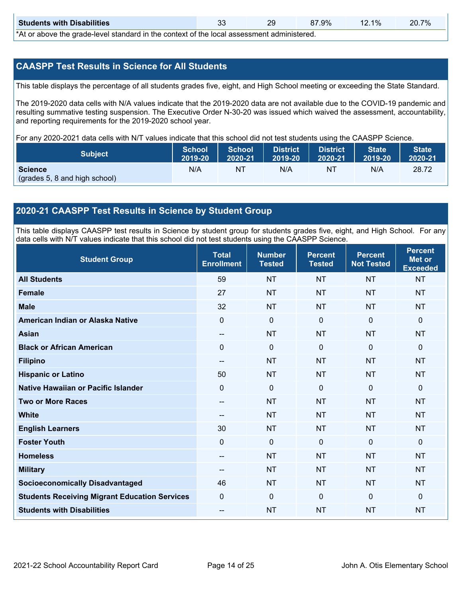| <b>Students with Disabilities</b>                                                                                      | ົ<br>u. | 20 | $27.9\%$ | 12.1% | 20.7% |  |
|------------------------------------------------------------------------------------------------------------------------|---------|----|----------|-------|-------|--|
| المحموليا والمسامح الموجود وجوجوا وجوال وحالية والمتواجب وجواليون الموجاد ومجالو المربول والمجموع وحالي ويحاجبون الملا |         |    |          |       |       |  |

\*At or above the grade-level standard in the context of the local assessment administered.

### **CAASPP Test Results in Science for All Students**

This table displays the percentage of all students grades five, eight, and High School meeting or exceeding the State Standard.

 resulting summative testing suspension. The Executive Order N-30-20 was issued which waived the assessment, accountability, and reporting requirements for the 2019-2020 school year. The 2019-2020 data cells with N/A values indicate that the 2019-2020 data are not available due to the COVID-19 pandemic and

For any 2020-2021 data cells with N/T values indicate that this school did not test students using the CAASPP Science.

| <b>Subject</b>                                  | <b>School</b> | <b>School</b> | <b>District</b> | District | <b>State</b> | <b>State</b> |
|-------------------------------------------------|---------------|---------------|-----------------|----------|--------------|--------------|
|                                                 | 2019-20       | 2020-21       | 2019-20         | 2020-21  | 2019-20      | 2020-21      |
| <b>Science</b><br>(grades 5, 8 and high school) | N/A           | ΝT            | N/A             | NT       | N/A          | 28.72        |

### **2020-21 CAASPP Test Results in Science by Student Group**

 This table displays CAASPP test results in Science by student group for students grades five, eight, and High School. For any data cells with N/T values indicate that this school did not test students using the CAASPP Science.

| <b>Student Group</b>                                 | <b>Total</b><br><b>Enrollment</b> | <b>Number</b><br><b>Tested</b> | <b>Percent</b><br><b>Tested</b> | <b>Percent</b><br><b>Not Tested</b> | <b>Percent</b><br><b>Met or</b><br><b>Exceeded</b> |
|------------------------------------------------------|-----------------------------------|--------------------------------|---------------------------------|-------------------------------------|----------------------------------------------------|
| <b>All Students</b>                                  | 59                                | <b>NT</b>                      | <b>NT</b>                       | <b>NT</b>                           | <b>NT</b>                                          |
| <b>Female</b>                                        | 27                                | <b>NT</b>                      | <b>NT</b>                       | <b>NT</b>                           | <b>NT</b>                                          |
| <b>Male</b>                                          | 32                                | <b>NT</b>                      | <b>NT</b>                       | <b>NT</b>                           | <b>NT</b>                                          |
| American Indian or Alaska Native                     | 0                                 | $\mathbf 0$                    | $\mathbf 0$                     | $\mathbf 0$                         | $\mathbf 0$                                        |
| <b>Asian</b>                                         | $- -$                             | <b>NT</b>                      | <b>NT</b>                       | <b>NT</b>                           | <b>NT</b>                                          |
| <b>Black or African American</b>                     | 0                                 | 0                              | $\mathbf 0$                     | $\mathbf 0$                         | $\mathbf 0$                                        |
| <b>Filipino</b>                                      | $\overline{\phantom{m}}$          | <b>NT</b>                      | <b>NT</b>                       | <b>NT</b>                           | <b>NT</b>                                          |
| <b>Hispanic or Latino</b>                            | 50                                | <b>NT</b>                      | <b>NT</b>                       | <b>NT</b>                           | <b>NT</b>                                          |
| Native Hawaiian or Pacific Islander                  | 0                                 | 0                              | $\mathbf 0$                     | $\mathbf 0$                         | $\mathbf{0}$                                       |
| <b>Two or More Races</b>                             | --                                | <b>NT</b>                      | <b>NT</b>                       | <b>NT</b>                           | <b>NT</b>                                          |
| <b>White</b>                                         | --                                | <b>NT</b>                      | <b>NT</b>                       | <b>NT</b>                           | <b>NT</b>                                          |
| <b>English Learners</b>                              | 30                                | <b>NT</b>                      | <b>NT</b>                       | <b>NT</b>                           | <b>NT</b>                                          |
| <b>Foster Youth</b>                                  | 0                                 | $\mathbf 0$                    | $\mathbf 0$                     | $\mathbf 0$                         | $\mathbf{0}$                                       |
| <b>Homeless</b>                                      | $-$                               | <b>NT</b>                      | <b>NT</b>                       | <b>NT</b>                           | <b>NT</b>                                          |
| <b>Military</b>                                      | --                                | <b>NT</b>                      | <b>NT</b>                       | <b>NT</b>                           | <b>NT</b>                                          |
| <b>Socioeconomically Disadvantaged</b>               | 46                                | <b>NT</b>                      | <b>NT</b>                       | <b>NT</b>                           | <b>NT</b>                                          |
| <b>Students Receiving Migrant Education Services</b> | 0                                 | 0                              | $\mathbf 0$                     | $\mathbf 0$                         | $\mathbf{0}$                                       |
| <b>Students with Disabilities</b>                    | --                                | <b>NT</b>                      | <b>NT</b>                       | <b>NT</b>                           | <b>NT</b>                                          |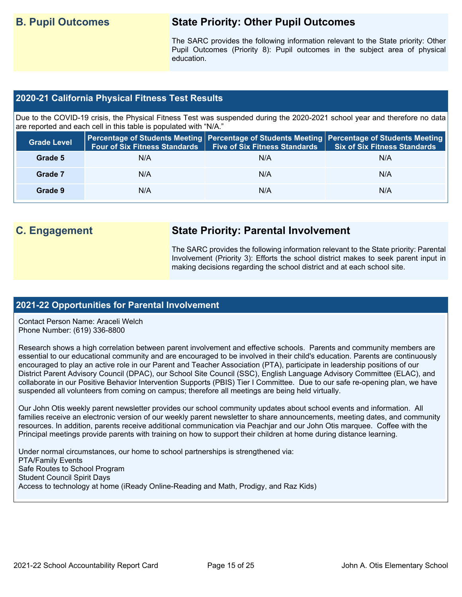## **B. Pupil Outcomes State Priority: Other Pupil Outcomes**

 Pupil Outcomes (Priority 8): Pupil outcomes in the subject area of physical The SARC provides the following information relevant to the State priority: Other education.

### **2020-21 California Physical Fitness Test Results**

 Due to the COVID-19 crisis, the Physical Fitness Test was suspended during the 2020-2021 school year and therefore no data are reported and each cell in this table is populated with "N/A."

| <b>Grade Level</b> | <b>Four of Six Fitness Standards</b> | Five of Six Fitness Standards   Six of Six Fitness Standards | Percentage of Students Meeting Percentage of Students Meeting Percentage of Students Meeting |
|--------------------|--------------------------------------|--------------------------------------------------------------|----------------------------------------------------------------------------------------------|
| Grade 5            | N/A                                  | N/A                                                          | N/A                                                                                          |
| Grade 7            | N/A                                  | N/A                                                          | N/A                                                                                          |
| Grade 9            | N/A                                  | N/A                                                          | N/A                                                                                          |

## **C. Engagement State Priority: Parental Involvement**

The SARC provides the following information relevant to the State priority: Parental Involvement (Priority 3): Efforts the school district makes to seek parent input in making decisions regarding the school district and at each school site.

### **2021-22 Opportunities for Parental Involvement**

Contact Person Name: Araceli Welch Phone Number: (619) 336-8800

 encouraged to play an active role in our Parent and Teacher Association (PTA), participate in leadership positions of our Research shows a high correlation between parent involvement and effective schools. Parents and community members are essential to our educational community and are encouraged to be involved in their child's education. Parents are continuously District Parent Advisory Council (DPAC), our School Site Council (SSC), English Language Advisory Committee (ELAC), and collaborate in our Positive Behavior Intervention Supports (PBIS) Tier I Committee. Due to our safe re-opening plan, we have suspended all volunteers from coming on campus; therefore all meetings are being held virtually.

 resources. In addition, parents receive additional communication via Peachjar and our John Otis marquee. Coffee with the Our John Otis weekly parent newsletter provides our school community updates about school events and information. All families receive an electronic version of our weekly parent newsletter to share announcements, meeting dates, and community Principal meetings provide parents with training on how to support their children at home during distance learning.

Under normal circumstances, our home to school partnerships is strengthened via: PTA/Family Events Safe Routes to School Program Student Council Spirit Days Access to technology at home (iReady Online-Reading and Math, Prodigy, and Raz Kids)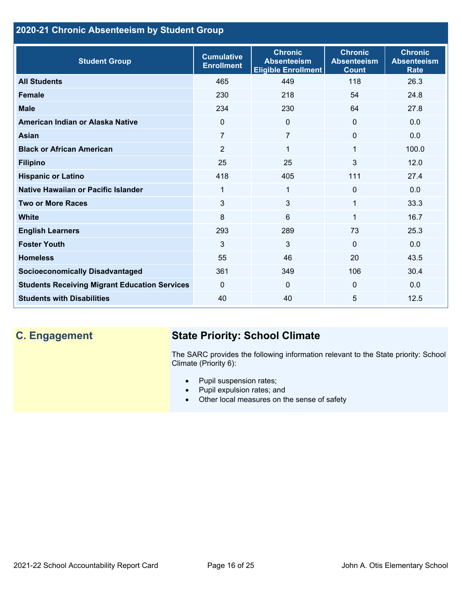## **2020-21 Chronic Absenteeism by Student Group**

| <b>Student Group</b>                                 | <b>Cumulative</b><br><b>Enrollment</b> | <b>Chronic</b><br><b>Absenteeism</b><br><b>Eligible Enrollment</b> | <b>Chronic</b><br><b>Absenteeism</b><br><b>Count</b> | <b>Chronic</b><br><b>Absenteeism</b><br><b>Rate</b> |
|------------------------------------------------------|----------------------------------------|--------------------------------------------------------------------|------------------------------------------------------|-----------------------------------------------------|
| <b>All Students</b>                                  | 465                                    | 449                                                                | 118                                                  | 26.3                                                |
| <b>Female</b>                                        | 230                                    | 218                                                                | 54                                                   | 24.8                                                |
| <b>Male</b>                                          | 234                                    | 230                                                                | 64                                                   | 27.8                                                |
| American Indian or Alaska Native                     | $\Omega$                               | $\Omega$                                                           | $\Omega$                                             | 0.0                                                 |
| <b>Asian</b>                                         | 7                                      | $\overline{7}$                                                     | $\mathbf 0$                                          | 0.0                                                 |
| <b>Black or African American</b>                     | $\overline{2}$                         | 1                                                                  | 1                                                    | 100.0                                               |
| <b>Filipino</b>                                      | 25                                     | 25                                                                 | 3                                                    | 12.0                                                |
| <b>Hispanic or Latino</b>                            | 418                                    | 405                                                                | 111                                                  | 27.4                                                |
| <b>Native Hawaiian or Pacific Islander</b>           | 1                                      | $\mathbf{1}$                                                       | $\mathbf{0}$                                         | 0.0                                                 |
| <b>Two or More Races</b>                             | 3                                      | 3                                                                  | 1                                                    | 33.3                                                |
| <b>White</b>                                         | 8                                      | 6                                                                  | 1                                                    | 16.7                                                |
| <b>English Learners</b>                              | 293                                    | 289                                                                | 73                                                   | 25.3                                                |
| <b>Foster Youth</b>                                  | 3                                      | 3                                                                  | $\Omega$                                             | 0.0                                                 |
| <b>Homeless</b>                                      | 55                                     | 46                                                                 | 20                                                   | 43.5                                                |
| <b>Socioeconomically Disadvantaged</b>               | 361                                    | 349                                                                | 106                                                  | 30.4                                                |
| <b>Students Receiving Migrant Education Services</b> | $\Omega$                               | 0                                                                  | $\Omega$                                             | 0.0                                                 |
| <b>Students with Disabilities</b>                    | 40                                     | 40                                                                 | 5                                                    | 12.5                                                |

## **C. Engagement State Priority: School Climate**

 The SARC provides the following information relevant to the State priority: School Climate (Priority 6):

- Pupil suspension rates;
- Pupil expulsion rates; and
- Other local measures on the sense of safety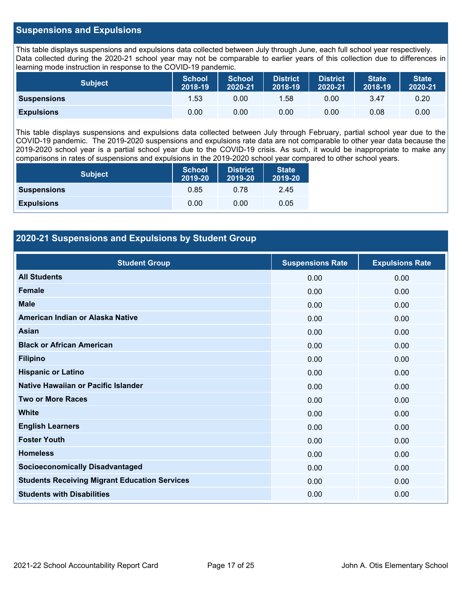#### **Suspensions and Expulsions**

This table displays suspensions and expulsions data collected between July through June, each full school year respectively. This table displays suspensions and expulsions data collected between July through June, each full school year respectively.<br>Data collected during the 2020-21 school year may not be comparable to earlier years of this coll learning mode instruction in response to the COVID-19 pandemic.

| <b>Subject</b>     | <b>School</b><br>2018-19 | <b>School</b><br>2020-21 | <b>District</b><br>2018-19 | <b>District</b><br>2020-21 | <b>State</b><br>2018-19 | <b>State</b><br>2020-21 |
|--------------------|--------------------------|--------------------------|----------------------------|----------------------------|-------------------------|-------------------------|
| <b>Suspensions</b> | 1.53                     | 0.00                     | 1.58                       | 0.00                       | 3.47                    | 0.20                    |
| <b>Expulsions</b>  | 0.00                     | 0.00                     | 0.00                       | 0.00                       | 0.08                    | 0.00                    |

 2019-2020 school year is a partial school year due to the COVID-19 crisis. As such, it would be inappropriate to make any This table displays suspensions and expulsions data collected between July through February, partial school year due to the COVID-19 pandemic. The 2019-2020 suspensions and expulsions rate data are not comparable to other year data because the comparisons in rates of suspensions and expulsions in the 2019-2020 school year compared to other school years.

| <b>Subject</b>     | <b>School</b><br>2019-20 | <b>District</b><br>2019-20 | <b>State</b><br>2019-20 |
|--------------------|--------------------------|----------------------------|-------------------------|
| <b>Suspensions</b> | 0.85                     | 0.78                       | 2.45                    |
| <b>Expulsions</b>  | 0.00                     | 0.00                       | 0.05                    |

## **2020-21 Suspensions and Expulsions by Student Group**

| <b>Student Group</b>                                 | <b>Suspensions Rate</b> | <b>Expulsions Rate</b> |
|------------------------------------------------------|-------------------------|------------------------|
| <b>All Students</b>                                  | 0.00                    | 0.00                   |
| <b>Female</b>                                        | 0.00                    | 0.00                   |
| <b>Male</b>                                          | 0.00                    | 0.00                   |
| American Indian or Alaska Native                     | 0.00                    | 0.00                   |
| <b>Asian</b>                                         | 0.00                    | 0.00                   |
| <b>Black or African American</b>                     | 0.00                    | 0.00                   |
| <b>Filipino</b>                                      | 0.00                    | 0.00                   |
| <b>Hispanic or Latino</b>                            | 0.00                    | 0.00                   |
| Native Hawaiian or Pacific Islander                  | 0.00                    | 0.00                   |
| <b>Two or More Races</b>                             | 0.00                    | 0.00                   |
| <b>White</b>                                         | 0.00                    | 0.00                   |
| <b>English Learners</b>                              | 0.00                    | 0.00                   |
| <b>Foster Youth</b>                                  | 0.00                    | 0.00                   |
| <b>Homeless</b>                                      | 0.00                    | 0.00                   |
| <b>Socioeconomically Disadvantaged</b>               | 0.00                    | 0.00                   |
| <b>Students Receiving Migrant Education Services</b> | 0.00                    | 0.00                   |
| <b>Students with Disabilities</b>                    | 0.00                    | 0.00                   |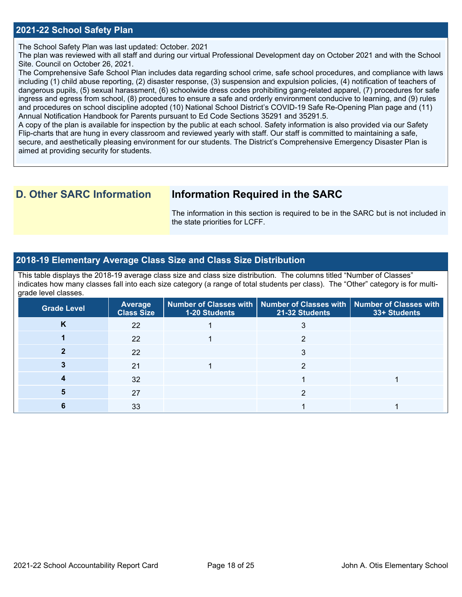#### **2021-22 School Safety Plan**

The School Safety Plan was last updated: October. 2021

The plan was reviewed with all staff and during our virtual Professional Development day on October 2021 and with the School Site. Council on October 26, 2021.

The Comprehensive Safe School Plan includes data regarding school crime, safe school procedures, and compliance with laws including (1) child abuse reporting, (2) disaster response, (3) suspension and expulsion policies, (4) notification of teachers of dangerous pupils, (5) sexual harassment, (6) schoolwide dress codes prohibiting gang-related apparel, (7) procedures for safe ingress and egress from school, (8) procedures to ensure a safe and orderly environment conducive to learning, and (9) rules and procedures on school discipline adopted (10) National School District's COVID-19 Safe Re-Opening Plan page and (11) Annual Notification Handbook for Parents pursuant to Ed Code Sections 35291 and 35291.5.

A copy of the plan is available for inspection by the public at each school. Safety information is also provided via our Safety Flip-charts that are hung in every classroom and reviewed yearly with staff. Our staff is committed to maintaining a safe, secure, and aesthetically pleasing environment for our students. The District's Comprehensive Emergency Disaster Plan is aimed at providing security for students.

## **D. Other SARC Information Information Required in the SARC**

 The information in this section is required to be in the SARC but is not included in the state priorities for LCFF.

#### **2018-19 Elementary Average Class Size and Class Size Distribution**

 indicates how many classes fall into each size category (a range of total students per class). The "Other" category is for multi-This table displays the 2018-19 average class size and class size distribution. The columns titled "Number of Classes" grade level classes.

| <b>Grade Level</b> | Average<br><b>Class Size</b> | <b>1-20 Students</b> | Number of Classes with   Number of Classes with   Number of Classes with<br>21-32 Students | 33+ Students |
|--------------------|------------------------------|----------------------|--------------------------------------------------------------------------------------------|--------------|
| K                  | 22                           |                      |                                                                                            |              |
|                    | <b>22</b>                    |                      |                                                                                            |              |
|                    | 22                           |                      |                                                                                            |              |
|                    | 21                           |                      |                                                                                            |              |
|                    | 32                           |                      |                                                                                            |              |
|                    | 27                           |                      |                                                                                            |              |
|                    | 33                           |                      |                                                                                            |              |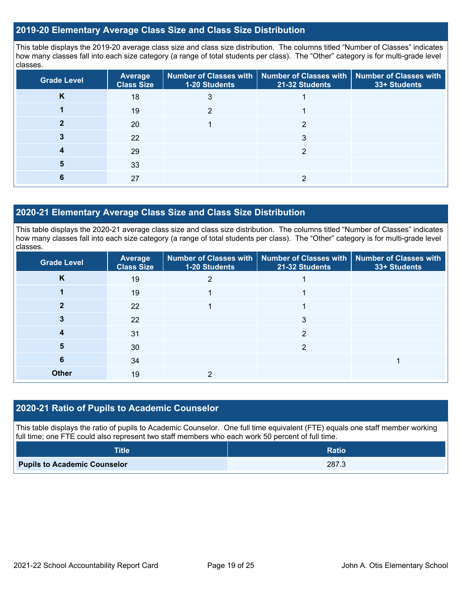#### **2019-20 Elementary Average Class Size and Class Size Distribution**

This table displays the 2019-20 average class size and class size distribution. The columns titled "Number of Classes" indicates how many classes fall into each size category (a range of total students per class). The "Other" category is for multi-grade level classes.

| <b>Grade Level</b> | <b>Average</b><br><b>Class Size</b> | 1-20 Students | Number of Classes with   Number of Classes with   Number of Classes with<br>21-32 Students | 33+ Students |
|--------------------|-------------------------------------|---------------|--------------------------------------------------------------------------------------------|--------------|
| n.                 | 18                                  |               |                                                                                            |              |
|                    | 19                                  |               |                                                                                            |              |
|                    | 20                                  |               |                                                                                            |              |
|                    | 22                                  |               | 3                                                                                          |              |
|                    | 29                                  |               |                                                                                            |              |
|                    | 33                                  |               |                                                                                            |              |
|                    | 27                                  |               |                                                                                            |              |

#### **2020-21 Elementary Average Class Size and Class Size Distribution**

This table displays the 2020-21 average class size and class size distribution. The columns titled "Number of Classes" indicates how many classes fall into each size category (a range of total students per class). The "Other" category is for multi-grade level classes.

| <b>Grade Level</b> | Average<br><b>Class Size</b> | <b>1-20 Students</b> | Number of Classes with   Number of Classes with   Number of Classes with<br>21-32 Students | 33+ Students |
|--------------------|------------------------------|----------------------|--------------------------------------------------------------------------------------------|--------------|
| K                  | 19                           |                      |                                                                                            |              |
|                    | 19                           |                      |                                                                                            |              |
|                    | 22                           |                      |                                                                                            |              |
|                    | 22                           |                      | 3                                                                                          |              |
|                    | 31                           |                      | າ                                                                                          |              |
| 5                  | 30                           |                      | າ                                                                                          |              |
| 6                  | 34                           |                      |                                                                                            |              |
| <b>Other</b>       | 19                           |                      |                                                                                            |              |

### **2020-21 Ratio of Pupils to Academic Counselor**

This table displays the ratio of pupils to Academic Counselor. One full time equivalent (FTE) equals one staff member working full time; one FTE could also represent two staff members who each work 50 percent of full time.

| <b>Title</b>                        | <b>Ratio</b> |
|-------------------------------------|--------------|
| <b>Pupils to Academic Counselor</b> | 287.3        |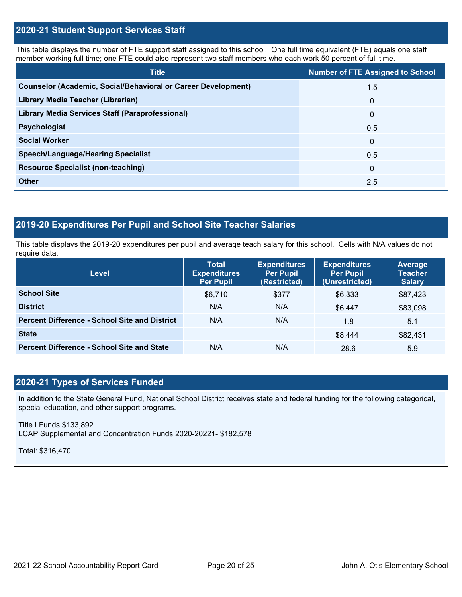## **2020-21 Student Support Services Staff**

This table displays the number of FTE support staff assigned to this school. One full time equivalent (FTE) equals one staff member working full time; one FTE could also represent two staff members who each work 50 percent of full time.

| <b>Title</b>                                                         | <b>Number of FTE Assigned to School</b> |
|----------------------------------------------------------------------|-----------------------------------------|
| <b>Counselor (Academic, Social/Behavioral or Career Development)</b> | 1.5                                     |
| Library Media Teacher (Librarian)                                    | $\mathbf{0}$                            |
| <b>Library Media Services Staff (Paraprofessional)</b>               | $\mathbf 0$                             |
| <b>Psychologist</b>                                                  | 0.5                                     |
| <b>Social Worker</b>                                                 | $\mathbf{0}$                            |
| <b>Speech/Language/Hearing Specialist</b>                            | 0.5                                     |
| <b>Resource Specialist (non-teaching)</b>                            | $\Omega$                                |
| <b>Other</b>                                                         | 2.5                                     |

## **2019-20 Expenditures Per Pupil and School Site Teacher Salaries**

 This table displays the 2019-20 expenditures per pupil and average teach salary for this school. Cells with N/A values do not require data.

| <b>Level</b>                                         | <b>Total</b><br><b>Expenditures</b><br><b>Per Pupil</b> | <b>Expenditures</b><br><b>Per Pupil</b><br>(Restricted) | <b>Expenditures</b><br><b>Per Pupil</b><br>(Unrestricted) | Average<br><b>Teacher</b><br><b>Salary</b> |
|------------------------------------------------------|---------------------------------------------------------|---------------------------------------------------------|-----------------------------------------------------------|--------------------------------------------|
| <b>School Site</b>                                   | \$6,710                                                 | \$377                                                   | \$6,333                                                   | \$87,423                                   |
| <b>District</b>                                      | N/A                                                     | N/A                                                     | \$6.447                                                   | \$83,098                                   |
| <b>Percent Difference - School Site and District</b> | N/A                                                     | N/A                                                     | $-1.8$                                                    | 5.1                                        |
| <b>State</b>                                         |                                                         |                                                         | \$8,444                                                   | \$82,431                                   |
| <b>Percent Difference - School Site and State</b>    | N/A                                                     | N/A                                                     | $-28.6$                                                   | 5.9                                        |

## **2020-21 Types of Services Funded**

In addition to the State General Fund, National School District receives state and federal funding for the following categorical, special education, and other support programs.

Title I Funds \$133,892 LCAP Supplemental and Concentration Funds 2020-20221- \$182,578

Total: \$316,470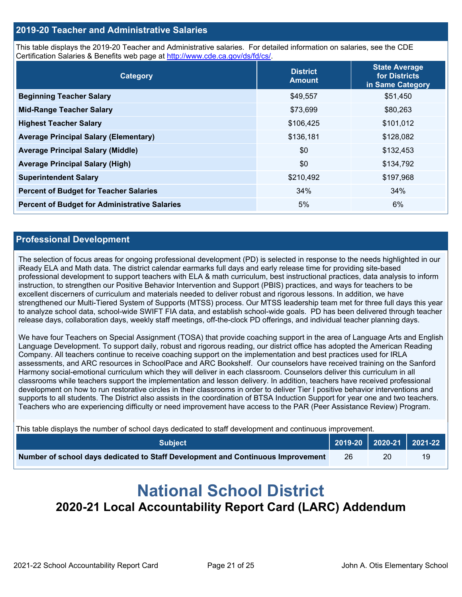#### **2019-20 Teacher and Administrative Salaries**

This table displays the 2019-20 Teacher and Administrative salaries. For detailed information on salaries, see the CDE Certification Salaries & Benefits web page at<http://www.cde.ca.gov/ds/fd/cs/>.

| Category                                             | <b>District</b><br><b>Amount</b> | <b>State Average</b><br>for Districts<br>in Same Category |
|------------------------------------------------------|----------------------------------|-----------------------------------------------------------|
| <b>Beginning Teacher Salary</b>                      | \$49,557                         | \$51,450                                                  |
| <b>Mid-Range Teacher Salary</b>                      | \$73,699                         | \$80,263                                                  |
| <b>Highest Teacher Salary</b>                        | \$106,425                        | \$101,012                                                 |
| <b>Average Principal Salary (Elementary)</b>         | \$136,181                        | \$128,082                                                 |
| <b>Average Principal Salary (Middle)</b>             | \$0                              | \$132,453                                                 |
| <b>Average Principal Salary (High)</b>               | \$0                              | \$134,792                                                 |
| <b>Superintendent Salary</b>                         | \$210,492                        | \$197,968                                                 |
| <b>Percent of Budget for Teacher Salaries</b>        | 34%                              | 34%                                                       |
| <b>Percent of Budget for Administrative Salaries</b> | 5%                               | 6%                                                        |

#### **Professional Development**

The selection of focus areas for ongoing professional development (PD) is selected in response to the needs highlighted in our iReady ELA and Math data. The district calendar earmarks full days and early release time for providing site-based professional development to support teachers with ELA & math curriculum, best instructional practices, data analysis to inform instruction, to strengthen our Positive Behavior Intervention and Support (PBIS) practices, and ways for teachers to be excellent discerners of curriculum and materials needed to deliver robust and rigorous lessons. In addition, we have strengthened our Multi-Tiered System of Supports (MTSS) process. Our MTSS leadership team met for three full days this year to analyze school data, school-wide SWIFT FIA data, and establish school-wide goals. PD has been delivered through teacher release days, collaboration days, weekly staff meetings, off-the-clock PD offerings, and individual teacher planning days.

 We have four Teachers on Special Assignment (TOSA) that provide coaching support in the area of Language Arts and English Language Development. To support daily, robust and rigorous reading, our district office has adopted the American Reading Company. All teachers continue to receive coaching support on the implementation and best practices used for IRLA assessments, and ARC resources in SchoolPace and ARC Bookshelf. Our counselors have received training on the Sanford Harmony social-emotional curriculum which they will deliver in each classroom. Counselors deliver this curriculum in all classrooms while teachers support the implementation and lesson delivery. In addition, teachers have received professional development on how to run restorative circles in their classrooms in order to deliver Tier I positive behavior interventions and supports to all students. The District also assists in the coordination of BTSA Induction Support for year one and two teachers. Teachers who are experiencing difficulty or need improvement have access to the PAR (Peer Assistance Review) Program.

This table displays the number of school days dedicated to staff development and continuous improvement.

| <b>Subiect</b> \                                                                |    |    | $\vert$ 2019-20 $\vert$ 2020-21 $\vert$ 2021-22 $\vert$ |
|---------------------------------------------------------------------------------|----|----|---------------------------------------------------------|
| Number of school days dedicated to Staff Development and Continuous Improvement | 26 | 20 |                                                         |

# **National School District 2020-21 Local Accountability Report Card (LARC) Addendum**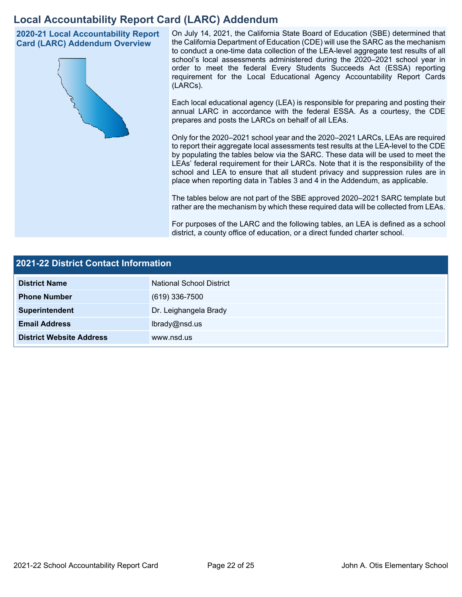## **Local Accountability Report Card (LARC) Addendum**

**2020-21 Local Accountability Report Card (LARC) Addendum Overview** 



 On July 14, 2021, the California State Board of Education (SBE) determined that the California Department of Education (CDE) will use the SARC as the mechanism to conduct a one-time data collection of the LEA-level aggregate test results of all school's local assessments administered during the 2020–2021 school year in order to meet the federal Every Students Succeeds Act (ESSA) reporting requirement for the Local Educational Agency Accountability Report Cards (LARCs).

Each local educational agency (LEA) is responsible for preparing and posting their annual LARC in accordance with the federal ESSA. As a courtesy, the CDE prepares and posts the LARCs on behalf of all LEAs.

 to report their aggregate local assessments test results at the LEA-level to the CDE by populating the tables below via the SARC. These data will be used to meet the Only for the 2020–2021 school year and the 2020–2021 LARCs, LEAs are required LEAs' federal requirement for their LARCs. Note that it is the responsibility of the school and LEA to ensure that all student privacy and suppression rules are in place when reporting data in Tables 3 and 4 in the Addendum, as applicable.

The tables below are not part of the SBE approved 2020–2021 SARC template but rather are the mechanism by which these required data will be collected from LEAs.

For purposes of the LARC and the following tables, an LEA is defined as a school district, a county office of education, or a direct funded charter school.

| 2021-22 District Contact Information |                          |  |  |  |
|--------------------------------------|--------------------------|--|--|--|
| <b>District Name</b>                 | National School District |  |  |  |
| <b>Phone Number</b>                  | $(619)$ 336-7500         |  |  |  |
| Superintendent                       | Dr. Leighangela Brady    |  |  |  |
| <b>Email Address</b>                 | lbrady@nsd.us            |  |  |  |
| <b>District Website Address</b>      | www.nsd.us               |  |  |  |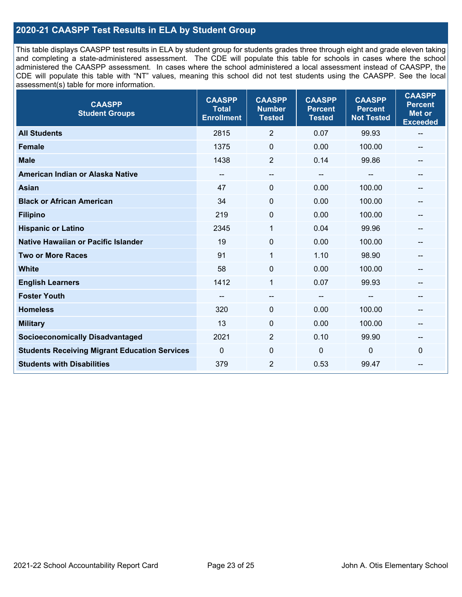## **2020-21 CAASPP Test Results in ELA by Student Group**

 and completing a state-administered assessment. The CDE will populate this table for schools in cases where the school CDE will populate this table with "NT" values, meaning this school did not test students using the CAASPP. See the local This table displays CAASPP test results in ELA by student group for students grades three through eight and grade eleven taking administered the CAASPP assessment. In cases where the school administered a local assessment instead of CAASPP, the assessment(s) table for more information.

| <b>CAASPP</b><br><b>Student Groups</b>               | <b>CAASPP</b><br><b>Total</b><br><b>Enrollment</b> | <b>CAASPP</b><br><b>Number</b><br><b>Tested</b> | <b>CAASPP</b><br><b>Percent</b><br><b>Tested</b> | <b>CAASPP</b><br><b>Percent</b><br><b>Not Tested</b> | <b>CAASPP</b><br><b>Percent</b><br><b>Met or</b><br><b>Exceeded</b> |
|------------------------------------------------------|----------------------------------------------------|-------------------------------------------------|--------------------------------------------------|------------------------------------------------------|---------------------------------------------------------------------|
| <b>All Students</b>                                  | 2815                                               | $\overline{2}$                                  | 0.07                                             | 99.93                                                | $\overline{\phantom{m}}$                                            |
| <b>Female</b>                                        | 1375                                               | $\mathbf 0$                                     | 0.00                                             | 100.00                                               |                                                                     |
| <b>Male</b>                                          | 1438                                               | 2                                               | 0.14                                             | 99.86                                                | --                                                                  |
| American Indian or Alaska Native                     | $-$                                                | $-$                                             | $\hspace{0.05cm}$                                | --                                                   | --                                                                  |
| <b>Asian</b>                                         | 47                                                 | 0                                               | 0.00                                             | 100.00                                               |                                                                     |
| <b>Black or African American</b>                     | 34                                                 | $\Omega$                                        | 0.00                                             | 100.00                                               |                                                                     |
| <b>Filipino</b>                                      | 219                                                | $\mathbf 0$                                     | 0.00                                             | 100.00                                               |                                                                     |
| <b>Hispanic or Latino</b>                            | 2345                                               | 1                                               | 0.04                                             | 99.96                                                |                                                                     |
| <b>Native Hawaiian or Pacific Islander</b>           | 19                                                 | $\mathbf 0$                                     | 0.00                                             | 100.00                                               |                                                                     |
| <b>Two or More Races</b>                             | 91                                                 | 1                                               | 1.10                                             | 98.90                                                |                                                                     |
| <b>White</b>                                         | 58                                                 | 0                                               | 0.00                                             | 100.00                                               | $\qquad \qquad -$                                                   |
| <b>English Learners</b>                              | 1412                                               | $\mathbf{1}$                                    | 0.07                                             | 99.93                                                |                                                                     |
| <b>Foster Youth</b>                                  |                                                    | $\qquad \qquad -$                               | $- -$                                            |                                                      |                                                                     |
| <b>Homeless</b>                                      | 320                                                | 0                                               | 0.00                                             | 100.00                                               |                                                                     |
| <b>Military</b>                                      | 13                                                 | 0                                               | 0.00                                             | 100.00                                               | --                                                                  |
| <b>Socioeconomically Disadvantaged</b>               | 2021                                               | $\overline{2}$                                  | 0.10                                             | 99.90                                                | --                                                                  |
| <b>Students Receiving Migrant Education Services</b> | $\mathbf{0}$                                       | $\mathbf 0$                                     | $\mathbf 0$                                      | 0                                                    | 0                                                                   |
| <b>Students with Disabilities</b>                    | 379                                                | $\overline{2}$                                  | 0.53                                             | 99.47                                                | --                                                                  |